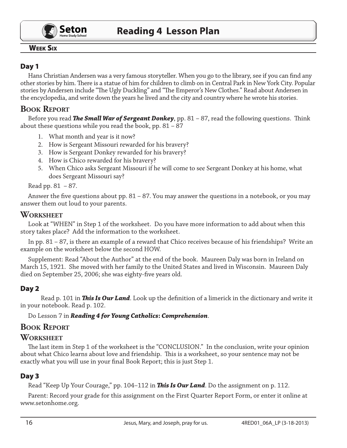

#### Week Six

## Day 1

Hans Christian Andersen was a very famous storyteller. When you go to the library, see if you can find any other stories by him. There is a statue of him for children to climb on in Central Park in New York City. Popular stories by Andersen include "The Ugly Duckling" and "The Emperor's New Clothes." Read about Andersen in the encyclopedia, and write down the years he lived and the city and country where he wrote his stories.

# **Book Report**

Before you read *The Small War of Sergeant Donkey*, pp. 81 – 87, read the following questions. Think about these questions while you read the book, pp. 81 – 87

- 1. What month and year is it now?
- 2. How is Sergeant Missouri rewarded for his bravery?
- 3. How is Sergeant Donkey rewarded for his bravery?
- 4. How is Chico rewarded for his bravery?
- 5. When Chico asks Sergeant Missouri if he will come to see Sergeant Donkey at his home, what does Sergeant Missouri say?

#### Read pp. 81 – 87.

Answer the five questions about pp. 81 – 87. You may answer the questions in a notebook, or you may answer them out loud to your parents.

#### **Worksheet**

Look at "WHEN" in Step 1 of the worksheet. Do you have more information to add about when this story takes place? Add the information to the worksheet.

In pp. 81 – 87, is there an example of a reward that Chico receives because of his friendships? Write an example on the worksheet below the second HOW.

Supplement: Read "About the Author" at the end of the book. Maureen Daly was born in Ireland on March 15, 1921. She moved with her family to the United States and lived in Wisconsin. Maureen Daly died on September 25, 2006; she was eighty-five years old.

## Day 2

Read p. 101 in *This Is Our Land*. Look up the definition of a limerick in the dictionary and write it in your notebook. Read p. 102.

Do Lesson 7 in *Reading 4 for Young Catholics***:** *Comprehension*.

## **Book Report**

#### **Worksheet**

The last item in Step 1 of the worksheet is the "CONCLUSION." In the conclusion, write your opinion about what Chico learns about love and friendship. This is a worksheet, so your sentence may not be exactly what you will use in your final Book Report; this is just Step 1.

#### Day 3

Read "Keep Up Your Courage," pp. 104–112 in *This Is Our Land*. Do the assignment on p. 112.

Parent: Record your grade for this assignment on the First Quarter Report Form, or enter it online at www.setonhome.org.